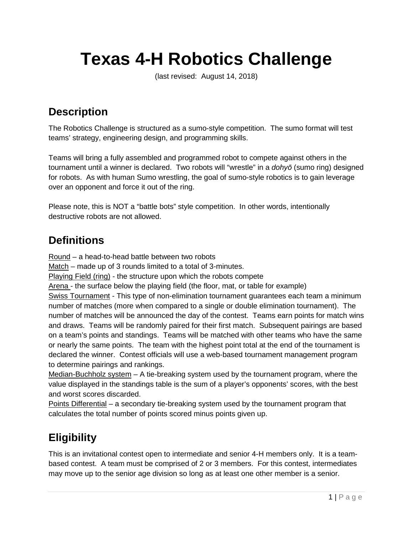# **Texas 4-H Robotics Challenge**

(last revised: August 14, 2018)

# **Description**

The Robotics Challenge is structured as a sumo-style competition. The sumo format will test teams' strategy, engineering design, and programming skills.

Teams will bring a fully assembled and programmed robot to compete against others in the tournament until a winner is declared. Two robots will "wrestle" in a *dohyō* (sumo ring) designed for robots. As with human Sumo wrestling, the goal of sumo-style robotics is to gain leverage over an opponent and force it out of the ring.

Please note, this is NOT a "battle bots" style competition. In other words, intentionally destructive robots are not allowed.

### **Definitions**

Round – a head-to-head battle between two robots

Match – made up of 3 rounds limited to a total of 3-minutes.

Playing Field (ring) - the structure upon which the robots compete

Arena - the surface below the playing field (the floor, mat, or table for example)

Swiss Tournament - This type of non-elimination tournament guarantees each team a minimum number of matches (more when compared to a single or double elimination tournament). The number of matches will be announced the day of the contest. Teams earn points for match wins and draws. Teams will be randomly paired for their first match. Subsequent pairings are based on a team's points and standings. Teams will be matched with other teams who have the same or nearly the same points. The team with the highest point total at the end of the tournament is declared the winner. Contest officials will use a web-based tournament management program to determine pairings and rankings.

Median-Buchholz system – A tie-breaking system used by the tournament program, where the value displayed in the standings table is the sum of a player's opponents' scores, with the best and worst scores discarded.

Points Differential – a secondary tie-breaking system used by the tournament program that calculates the total number of points scored minus points given up.

# **Eligibility**

This is an invitational contest open to intermediate and senior 4-H members only. It is a teambased contest. A team must be comprised of 2 or 3 members. For this contest, intermediates may move up to the senior age division so long as at least one other member is a senior.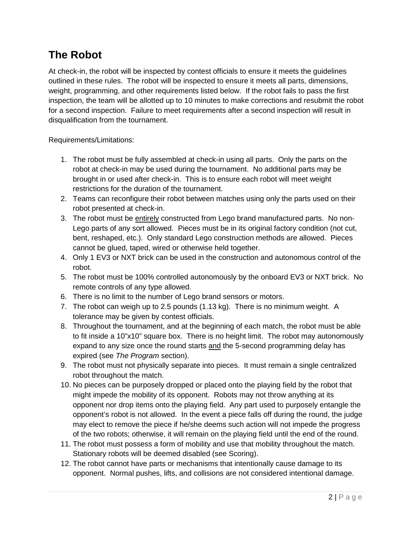## **The Robot**

At check-in, the robot will be inspected by contest officials to ensure it meets the guidelines outlined in these rules. The robot will be inspected to ensure it meets all parts, dimensions, weight, programming, and other requirements listed below. If the robot fails to pass the first inspection, the team will be allotted up to 10 minutes to make corrections and resubmit the robot for a second inspection. Failure to meet requirements after a second inspection will result in disqualification from the tournament.

Requirements/Limitations:

- 1. The robot must be fully assembled at check-in using all parts. Only the parts on the robot at check-in may be used during the tournament. No additional parts may be brought in or used after check-in. This is to ensure each robot will meet weight restrictions for the duration of the tournament.
- 2. Teams can reconfigure their robot between matches using only the parts used on their robot presented at check-in.
- 3. The robot must be entirely constructed from Lego brand manufactured parts. No non-Lego parts of any sort allowed. Pieces must be in its original factory condition (not cut, bent, reshaped, etc.). Only standard Lego construction methods are allowed. Pieces cannot be glued, taped, wired or otherwise held together.
- 4. Only 1 EV3 or NXT brick can be used in the construction and autonomous control of the robot.
- 5. The robot must be 100% controlled autonomously by the onboard EV3 or NXT brick. No remote controls of any type allowed.
- 6. There is no limit to the number of Lego brand sensors or motors.
- 7. The robot can weigh up to 2.5 pounds (1.13 kg). There is no minimum weight. A tolerance may be given by contest officials.
- 8. Throughout the tournament, and at the beginning of each match, the robot must be able to fit inside a 10"x10" square box. There is no height limit. The robot may autonomously expand to any size once the round starts and the 5-second programming delay has expired (see *The Program* section).
- 9. The robot must not physically separate into pieces. It must remain a single centralized robot throughout the match.
- 10. No pieces can be purposely dropped or placed onto the playing field by the robot that might impede the mobility of its opponent. Robots may not throw anything at its opponent nor drop items onto the playing field. Any part used to purposely entangle the opponent's robot is not allowed. In the event a piece falls off during the round, the judge may elect to remove the piece if he/she deems such action will not impede the progress of the two robots; otherwise, it will remain on the playing field until the end of the round.
- 11. The robot must possess a form of mobility and use that mobility throughout the match. Stationary robots will be deemed disabled (see Scoring).
- 12. The robot cannot have parts or mechanisms that intentionally cause damage to its opponent. Normal pushes, lifts, and collisions are not considered intentional damage.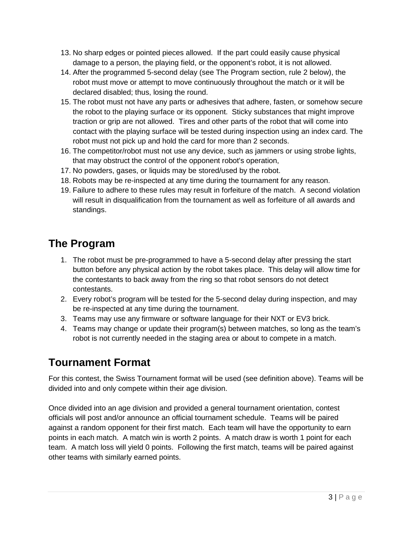- 13. No sharp edges or pointed pieces allowed. If the part could easily cause physical damage to a person, the playing field, or the opponent's robot, it is not allowed.
- 14. After the programmed 5-second delay (see The Program section, rule 2 below), the robot must move or attempt to move continuously throughout the match or it will be declared disabled; thus, losing the round.
- 15. The robot must not have any parts or adhesives that adhere, fasten, or somehow secure the robot to the playing surface or its opponent. Sticky substances that might improve traction or grip are not allowed. Tires and other parts of the robot that will come into contact with the playing surface will be tested during inspection using an index card. The robot must not pick up and hold the card for more than 2 seconds.
- 16. The competitor/robot must not use any device, such as jammers or using strobe lights, that may obstruct the control of the opponent robot's operation,
- 17. No powders, gases, or liquids may be stored/used by the robot.
- 18. Robots may be re-inspected at any time during the tournament for any reason.
- 19. Failure to adhere to these rules may result in forfeiture of the match. A second violation will result in disqualification from the tournament as well as forfeiture of all awards and standings.

# **The Program**

- 1. The robot must be pre-programmed to have a 5-second delay after pressing the start button before any physical action by the robot takes place. This delay will allow time for the contestants to back away from the ring so that robot sensors do not detect contestants.
- 2. Every robot's program will be tested for the 5-second delay during inspection, and may be re-inspected at any time during the tournament.
- 3. Teams may use any firmware or software language for their NXT or EV3 brick.
- 4. Teams may change or update their program(s) between matches, so long as the team's robot is not currently needed in the staging area or about to compete in a match.

# **Tournament Format**

For this contest, the Swiss Tournament format will be used (see definition above). Teams will be divided into and only compete within their age division.

Once divided into an age division and provided a general tournament orientation, contest officials will post and/or announce an official tournament schedule. Teams will be paired against a random opponent for their first match. Each team will have the opportunity to earn points in each match. A match win is worth 2 points. A match draw is worth 1 point for each team. A match loss will yield 0 points. Following the first match, teams will be paired against other teams with similarly earned points.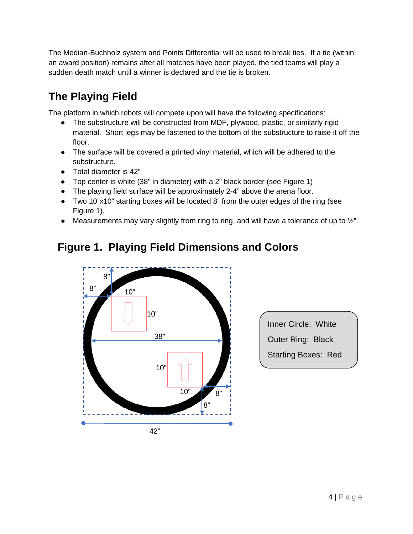The Median-Buchholz system and Points Differential will be used to break ties. If a tie (within an award position) remains after all matches have been played, the tied teams will play a sudden death match until a winner is declared and the tie is broken.

# **The Playing Field**

The platform in which robots will compete upon will have the following specifications:

- The substructure will be constructed from MDF, plywood, plastic, or similarly rigid material. Short legs may be fastened to the bottom of the substructure to raise it off the floor.
- The surface will be covered a printed vinyl material, which will be adhered to the substructure.
- Total diameter is 42"
- Top center is white (38" in diameter) with a 2" black border (see Figure 1)
- The playing field surface will be approximately 2-4" above the arena floor.
- Two 10"x10" starting boxes will be located 8" from the outer edges of the ring (see Figure 1).
- Measurements may vary slightly from ring to ring, and will have a tolerance of up to  $\frac{1}{2}$ .

# **Figure 1. Playing Field Dimensions and Colors**



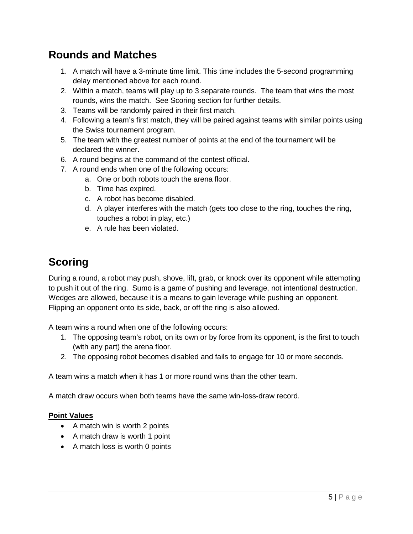### **Rounds and Matches**

- 1. A match will have a 3-minute time limit. This time includes the 5-second programming delay mentioned above for each round.
- 2. Within a match, teams will play up to 3 separate rounds. The team that wins the most rounds, wins the match. See Scoring section for further details.
- 3. Teams will be randomly paired in their first match.
- 4. Following a team's first match, they will be paired against teams with similar points using the Swiss tournament program.
- 5. The team with the greatest number of points at the end of the tournament will be declared the winner.
- 6. A round begins at the command of the contest official.
- 7. A round ends when one of the following occurs:
	- a. One or both robots touch the arena floor.
	- b. Time has expired.
	- c. A robot has become disabled.
	- d. A player interferes with the match (gets too close to the ring, touches the ring, touches a robot in play, etc.)
	- e. A rule has been violated.

## **Scoring**

During a round, a robot may push, shove, lift, grab, or knock over its opponent while attempting to push it out of the ring. Sumo is a game of pushing and leverage, not intentional destruction. Wedges are allowed, because it is a means to gain leverage while pushing an opponent. Flipping an opponent onto its side, back, or off the ring is also allowed.

A team wins a round when one of the following occurs:

- 1. The opposing team's robot, on its own or by force from its opponent, is the first to touch (with any part) the arena floor.
- 2. The opposing robot becomes disabled and fails to engage for 10 or more seconds.

A team wins a match when it has 1 or more round wins than the other team.

A match draw occurs when both teams have the same win-loss-draw record.

#### **Point Values**

- A match win is worth 2 points
- A match draw is worth 1 point
- A match loss is worth 0 points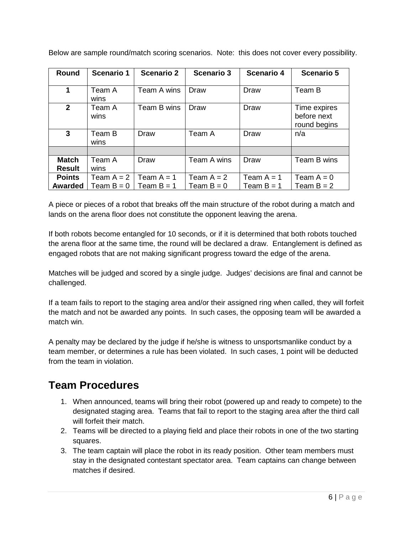| <b>Round</b>                  | <b>Scenario 1</b>            | <b>Scenario 2</b>            | <b>Scenario 3</b>            | <b>Scenario 4</b>            | <b>Scenario 5</b>                           |
|-------------------------------|------------------------------|------------------------------|------------------------------|------------------------------|---------------------------------------------|
| 1                             | Team A<br>wins               | Team A wins                  | Draw                         | Draw                         | Team B                                      |
| $\mathbf{2}$                  | Team A<br>wins               | Team B wins                  | Draw                         | Draw                         | Time expires<br>before next<br>round begins |
| 3                             | Team B<br>wins               | Draw                         | Team A                       | Draw                         | n/a                                         |
|                               |                              |                              |                              |                              |                                             |
| <b>Match</b><br><b>Result</b> | Team A<br>wins               | Draw                         | Team A wins                  | Draw                         | Team B wins                                 |
| <b>Points</b><br>Awarded      | Team $A = 2$<br>Team $B = 0$ | Team $A = 1$<br>Team $B = 1$ | Team $A = 2$<br>Team $B = 0$ | Team $A = 1$<br>Team $B = 1$ | Team $A = 0$<br>Team $B = 2$                |

Below are sample round/match scoring scenarios. Note: this does not cover every possibility.

A piece or pieces of a robot that breaks off the main structure of the robot during a match and lands on the arena floor does not constitute the opponent leaving the arena.

If both robots become entangled for 10 seconds, or if it is determined that both robots touched the arena floor at the same time, the round will be declared a draw. Entanglement is defined as engaged robots that are not making significant progress toward the edge of the arena.

Matches will be judged and scored by a single judge. Judges' decisions are final and cannot be challenged.

If a team fails to report to the staging area and/or their assigned ring when called, they will forfeit the match and not be awarded any points. In such cases, the opposing team will be awarded a match win.

A penalty may be declared by the judge if he/she is witness to unsportsmanlike conduct by a team member, or determines a rule has been violated. In such cases, 1 point will be deducted from the team in violation.

#### **Team Procedures**

- 1. When announced, teams will bring their robot (powered up and ready to compete) to the designated staging area. Teams that fail to report to the staging area after the third call will forfeit their match.
- 2. Teams will be directed to a playing field and place their robots in one of the two starting squares.
- 3. The team captain will place the robot in its ready position. Other team members must stay in the designated contestant spectator area. Team captains can change between matches if desired.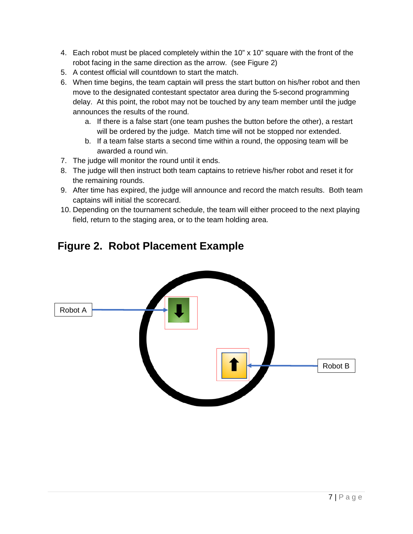- 4. Each robot must be placed completely within the 10" x 10" square with the front of the robot facing in the same direction as the arrow. (see Figure 2)
- 5. A contest official will countdown to start the match.
- 6. When time begins, the team captain will press the start button on his/her robot and then move to the designated contestant spectator area during the 5-second programming delay. At this point, the robot may not be touched by any team member until the judge announces the results of the round.
	- a. If there is a false start (one team pushes the button before the other), a restart will be ordered by the judge. Match time will not be stopped nor extended.
	- b. If a team false starts a second time within a round, the opposing team will be awarded a round win.
- 7. The judge will monitor the round until it ends.
- 8. The judge will then instruct both team captains to retrieve his/her robot and reset it for the remaining rounds.
- 9. After time has expired, the judge will announce and record the match results. Both team captains will initial the scorecard.
- 10. Depending on the tournament schedule, the team will either proceed to the next playing field, return to the staging area, or to the team holding area.

#### **Figure 2. Robot Placement Example**